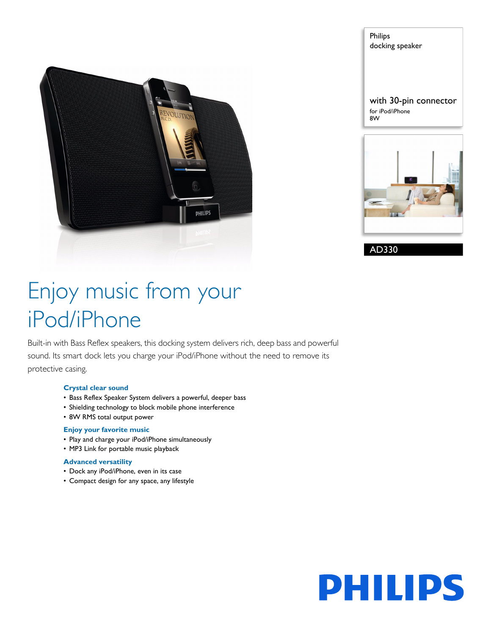

Philips docking speaker with 30-pin connector for iPod/iPhone 8W



AD330

# Enjoy music from your iPod/iPhone

Built-in with Bass Reflex speakers, this docking system delivers rich, deep bass and powerful sound. Its smart dock lets you charge your iPod/iPhone without the need to remove its protective casing.

#### **Crystal clear sound**

- Bass Reflex Speaker System delivers a powerful, deeper bass
- Shielding technology to block mobile phone interference
- 8W RMS total output power

#### **Enjoy your favorite music**

- Play and charge your iPod/iPhone simultaneously
- MP3 Link for portable music playback

#### **Advanced versatility**

- Dock any iPod/iPhone, even in its case
- Compact design for any space, any lifestyle